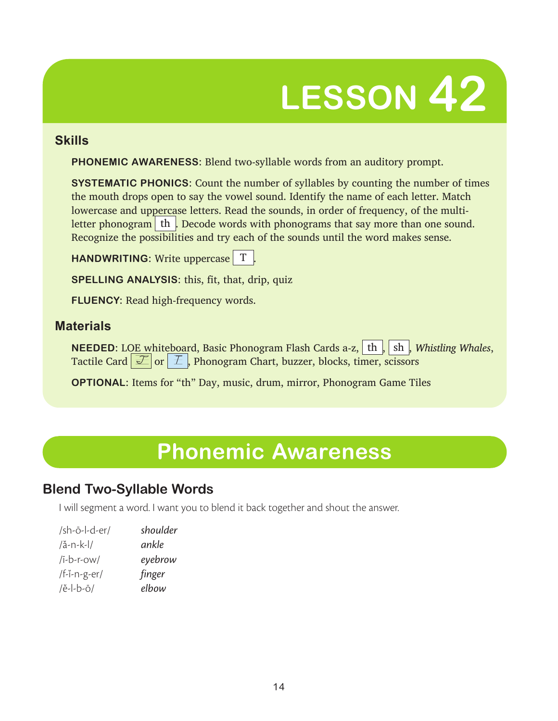# **LESSON 42**

### **Skills**

**PHONEMIC AWARENESS:** Blend two-syllable words from an auditory prompt.

**SYSTEMATIC PHONICS:** Count the number of syllables by counting the number of times the mouth drops open to say the vowel sound. Identify the name of each letter. Match lowercase and uppercase letters. Read the sounds, in order of frequency, of the multiletter phonogram  $\vert$  th  $\vert$ . Decode words with phonograms that say more than one sound. Recognize the possibilities and try each of the sounds until the word makes sense.

**HANDWRITING:** Write uppercase T.

**SPELLING ANALYSIS:** this, fit, that, drip, quiz

**FLUENCY:** Read high-frequency words.

### **Materials**

**NEEDED:** LOE whiteboard, Basic Phonogram Flash Cards a-z, th, sh, *Whistling Whales*, Tactile Card  $\mathcal{F}$  or  $\mathcal{F}$ , Phonogram Chart, buzzer, blocks, timer, scissors

**OPTIONAL:** Items for "th" Day, music, drum, mirror, Phonogram Game Tiles

# **Phonemic Awareness**

## **Blend Two-Syllable Words**

I will segment a word. I want you to blend it back together and shout the answer.

| /sh- $\ddot{o}$ -l-d-er/ | shoulder |
|--------------------------|----------|
| $/$ å-n-k-l $/$          | ankle    |
| $(i-b-r-ow)$             | eyebrow  |
| /f-ï-n-g-er/             | finger   |
| $/$ ě-l-b-ō/             | elbow    |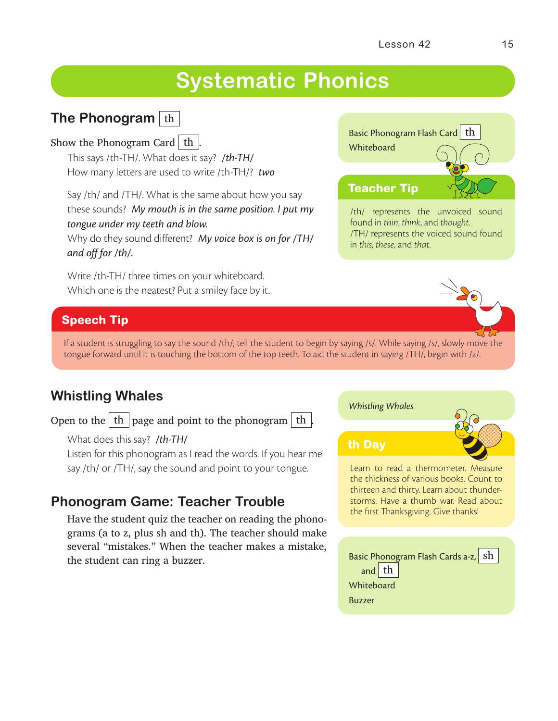# **Systematic Phonics**

## **The Phonogram** th

### Show the Phonogram Card  $\vert$  th  $\vert$

This says /th-TH/. What does it say? */th-TH/* How many letters are used to write /th-TH/? *two*

Say /th/ and /TH/. What is the same about how you say these sounds? *My mouth is in the same position. I put my tongue under my teeth and blow.*

Why do they sound different? *My voice box is on for /TH/ and off for /th/.*

Write /th-TH/ three times on your whiteboard. Which one is the neatest? Put a smiley face by it.

# Basic Phonogram Flash Card th **Whiteboard** /th/ represents the unvoiced sound **Teacher Tip**

found in *thin*, *think*, and *thought*. /TH/ represents the voiced sound found in *this*, *these*, and *that*.

### **Speech Tip**

If a student is struggling to say the sound /th/, tell the student to begin by saying /s/. While saying /s/, slowly move the tongue forward until it is touching the bottom of the top teeth. To aid the student in saying /TH/, begin with /z/.

## **Whistling Whales**

Open to the  $\boxed{\text{th}}$  page and point to the phonogram  $\boxed{\text{th}}$ 

What does this say? */th-TH/*

Listen for this phonogram as I read the words. If you hear me say /th/ or /TH/, say the sound and point to your tongue.

## **Phonogram Game: Teacher Trouble**

Have the student quiz the teacher on reading the phonograms (a to z, plus sh and th). The teacher should make several "mistakes." When the teacher makes a mistake, the student can ring a buzzer.

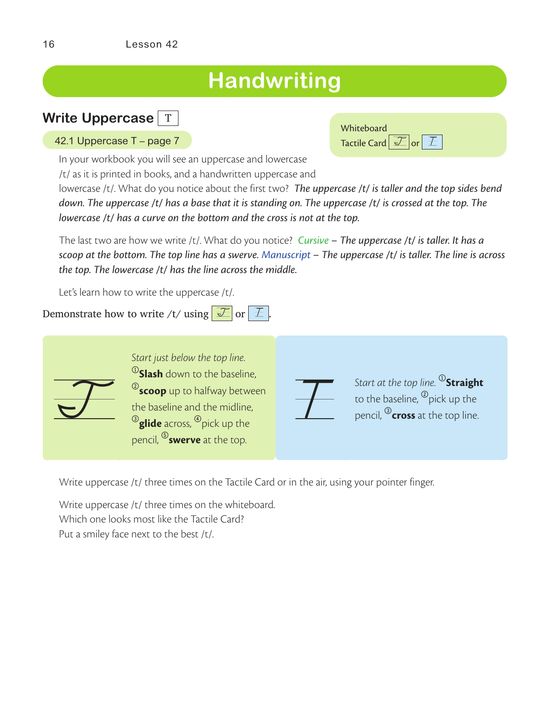# **Handwriting**

## **Write Uppercase** T

|  |  | 42.1 Uppercase T – page 7 |
|--|--|---------------------------|
|--|--|---------------------------|

In your workbook you will see an uppercase and lowercase

/t/ as it is printed in books, and a handwritten uppercase and

lowercase /t/. What do you notice about the first two? *The uppercase /t/ is taller and the top sides bend down. The uppercase /t/ has a base that it is standing on. The uppercase /t/ is crossed at the top. The lowercase /t/ has a curve on the bottom and the cross is not at the top.*

The last two are how we write /t/. What do you notice? *Cursive – The uppercase /t/ is taller. It has a scoop at the bottom. The top line has a swerve. Manuscript – The uppercase /t/ is taller. The line is across the top. The lowercase /t/ has the line across the middle.*

Let's learn how to write the uppercase /t/.

Demonstrate how to write /t/ using  $\mathcal{F}$  or  $\mathcal{F}$ .



*Start just below the top line.*  <sup>1</sup>**Slash** down to the baseline, <sup>2</sup>**scoop** up to halfway between the baseline and the midline, <sup>3</sup>glide across, <sup>4</sup> pick up the pencil, <sup>®</sup>swerve at the top.

Start at the top line. <sup>®</sup>Straight<br>to the baseline, <sup>®</sup>pick up the<br>pencil, ®**cross** at the top line. to the baseline,  $^\textcircled{\tiny 2}$ pick up the pencil, 3**cross** at the top line.

Write uppercase /t/ three times on the Tactile Card or in the air, using your pointer finger.

Write uppercase /t/ three times on the whiteboard. Which one looks most like the Tactile Card? Put a smiley face next to the best /t/.

| Whiteboard                    |  |
|-------------------------------|--|
| Tactile Card $\mathcal{I}$ or |  |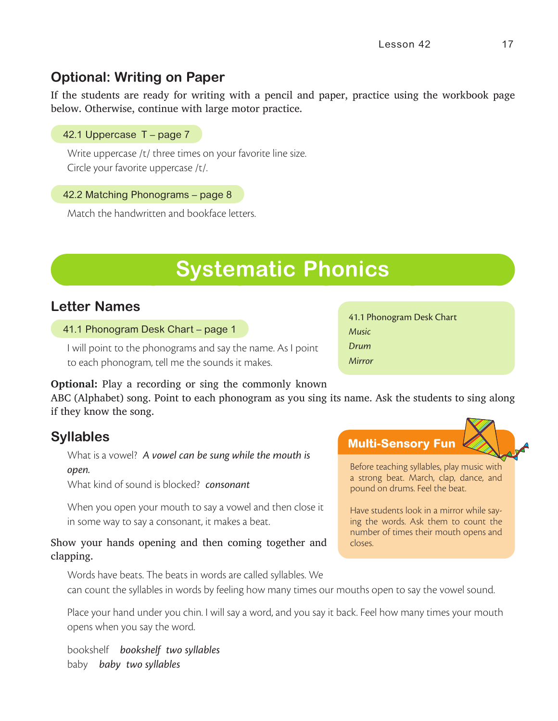## **Optional: Writing on Paper**

If the students are ready for writing with a pencil and paper, practice using the workbook page below. Otherwise, continue with large motor practice.

### 42.1 Uppercase T – page 7

Write uppercase /t/ three times on your favorite line size. Circle your favorite uppercase /t/.

### 42.2 Matching Phonograms – page 8

Match the handwritten and bookface letters.

# **Systematic Phonics**

### **Letter Names**

### 41.1 Phonogram Desk Chart – page 1

I will point to the phonograms and say the name. As I point to each phonogram, tell me the sounds it makes.

### **Optional:** Play a recording or sing the commonly known

ABC (Alphabet) song. Point to each phonogram as you sing its name. Ask the students to sing along if they know the song.

### **Syllables**

What is a vowel? *A vowel can be sung while the mouth is open.*

What kind of sound is blocked? *consonant*

When you open your mouth to say a vowel and then close it in some way to say a consonant, it makes a beat.

### Show your hands opening and then coming together and clapping.

Words have beats. The beats in words are called syllables. We can count the syllables in words by feeling how many times our mouths open to say the vowel sound.

Place your hand under you chin. I will say a word, and you say it back. Feel how many times your mouth opens when you say the word.

bookshelf *bookshelf two syllables* baby *baby two syllables*

41.1 Phonogram Desk Chart *Music Drum Mirror*



Before teaching syllables, play music with a strong beat. March, clap, dance, and pound on drums. Feel the beat.

Have students look in a mirror while saying the words. Ask them to count the number of times their mouth opens and closes.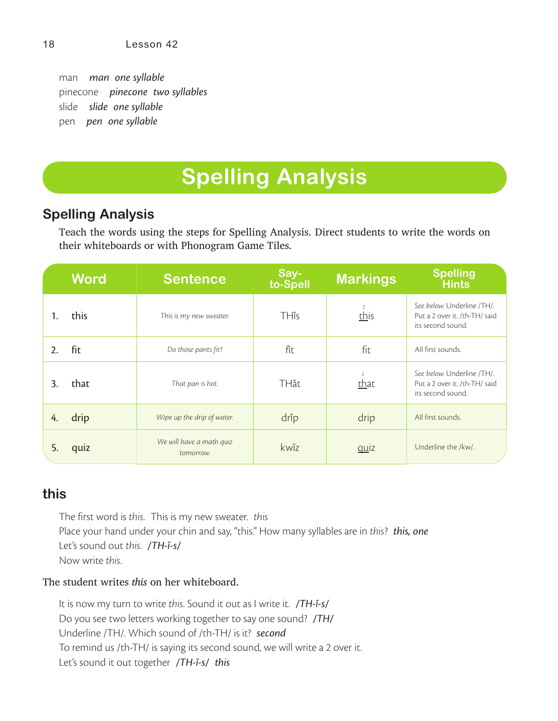man *man one syllable* pinecone *pinecone two syllables* slide *slide one syllable* pen *pen one syllable*

# **Spelling Analysis**

## **Spelling Analysis**

Teach the words using the steps for Spelling Analysis. Direct students to write the words on their whiteboards or with Phonogram Game Tiles.

|    | <b>Word</b> | <b>Sentence</b>                       | Say-<br>to-Spell | <b>Markings</b> | <b>Spelling</b><br><b>Hints</b>                                                  |
|----|-------------|---------------------------------------|------------------|-----------------|----------------------------------------------------------------------------------|
|    | this        | This is my new sweater.               | <b>TH</b> is     | -2<br>this      | See below. Underline /TH/.<br>Put a 2 over it. /th-TH/ said<br>its second sound. |
| 2. | fit         | Do those pants fit?                   | fĭt              | fit             | All first sounds.                                                                |
| 3. | that        | That pan is hot.                      | <b>TH</b> ăt     | that            | See below. Underline /TH/.<br>Put a 2 over it. /th-TH/ said<br>its second sound. |
| 4. | drip        | Wipe up the drip of water.            | drip             | drip            | All first sounds.                                                                |
| 5. | quiz        | We will have a math quiz<br>tomorrow. | kwĭz             | quiz            | Underline the /kw/.                                                              |

### **this**

The first word is *this*. This is my new sweater. *this* Place your hand under your chin and say, "this." How many syllables are in *this*? *this, one* Let's sound out *this*. */TH-ĭ-s/* Now write *this*.

The student writes *this* on her whiteboard.

It is now my turn to write *this*. Sound it out as I write it. */TH-ĭ-s/* Do you see two letters working together to say one sound? */TH/* Underline /TH/. Which sound of /th-TH/ is it? *second* To remind us /th-TH/ is saying its second sound, we will write a 2 over it. Let's sound it out together */TH-ĭ-s/ this*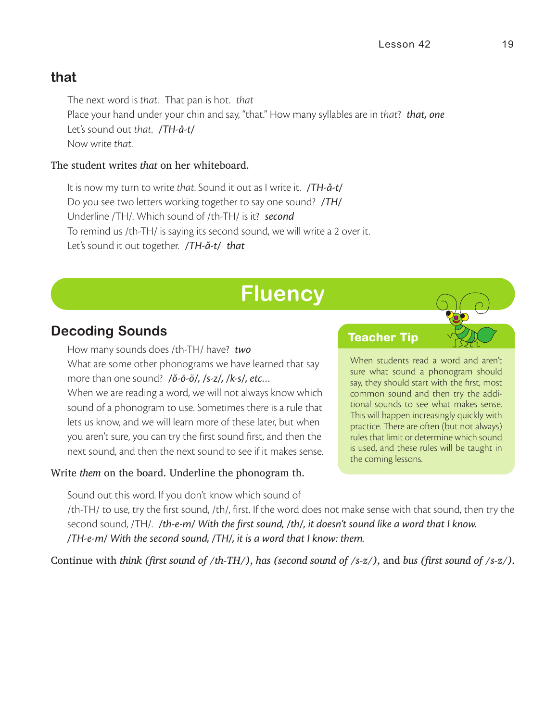### **that**

The next word is *that*. That pan is hot. *that* Place your hand under your chin and say, "that." How many syllables are in *that*? *that, one* Let's sound out *that*. */TH-ă-t/* Now write *that*.

### The student writes *that* on her whiteboard.

It is now my turn to write *that*. Sound it out as I write it. */TH-ă-t/* Do you see two letters working together to say one sound? */TH/* Underline /TH/. Which sound of /th-TH/ is it? *second* To remind us /th-TH/ is saying its second sound, we will write a 2 over it. Let's sound it out together. */TH-ă-t/ that*

## **Fluency**

### **Decoding Sounds**

How many sounds does /th-TH/ have? *two* What are some other phonograms we have learned that say more than one sound? */ŏ-ō-ö/, /s-z/, /k-s/, etc…* When we are reading a word, we will not always know which sound of a phonogram to use. Sometimes there is a rule that lets us know, and we will learn more of these later, but when you aren't sure, you can try the first sound first, and then the next sound, and then the next sound to see if it makes sense.

Write *them* on the board. Underline the phonogram th.

Sound out this word. If you don't know which sound of

When students read a word and aren't sure what sound a phonogram should say, they should start with the first, most common sound and then try the addi-

**Teacher Tip**

tional sounds to see what makes sense. This will happen increasingly quickly with practice. There are often (but not always) rules that limit or determine which sound is used, and these rules will be taught in the coming lessons.

/th-TH/ to use, try the first sound, /th/, first. If the word does not make sense with that sound, then try the second sound, /TH/. */th-e-m/ With the first sound, /th/, it doesn't sound like a word that I know. /TH-e-m/ With the second sound, /TH/, it is a word that I know: them.*

Continue with *think (first sound of /th-TH/)*, *has (second sound of /s-z/)*, and *bus (first sound of /s-z/)*.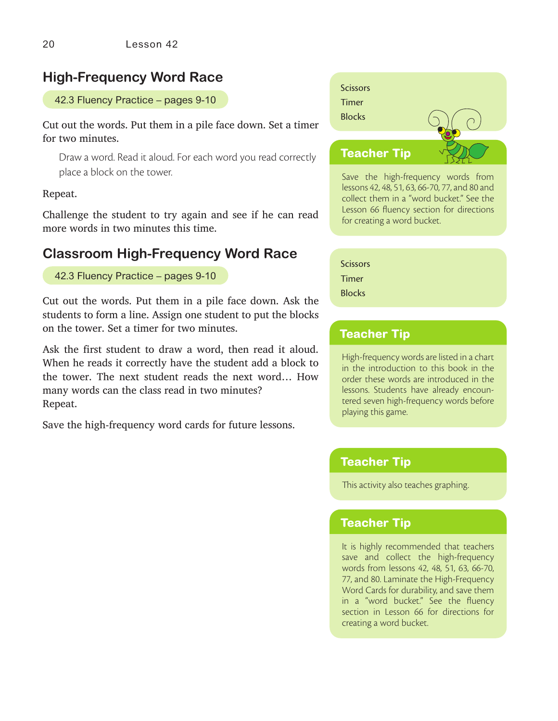### **High-Frequency Word Race**

#### 42.3 Fluency Practice – pages 9-10

Cut out the words. Put them in a pile face down. Set a timer for two minutes.

Draw a word. Read it aloud. For each word you read correctly place a block on the tower.

#### Repeat.

Challenge the student to try again and see if he can read more words in two minutes this time.

### **Classroom High-Frequency Word Race**

42.3 Fluency Practice – pages 9-10

Cut out the words. Put them in a pile face down. Ask the students to form a line. Assign one student to put the blocks on the tower. Set a timer for two minutes.

Ask the first student to draw a word, then read it aloud. When he reads it correctly have the student add a block to the tower. The next student reads the next word… How many words can the class read in two minutes? Repeat.

Save the high-frequency word cards for future lessons.



Save the high-frequency words from lessons 42, 48, 51, 63, 66-70, 77, and 80 and collect them in a "word bucket." See the Lesson 66 fluency section for directions for creating a word bucket.

**Scissors** Timer **Blocks** 

### **Teacher Tip**

High-frequency words are listed in a chart in the introduction to this book in the order these words are introduced in the lessons. Students have already encountered seven high-frequency words before playing this game.

### **Teacher Tip**

This activity also teaches graphing.

### **Teacher Tip**

It is highly recommended that teachers save and collect the high-frequency words from lessons 42, 48, 51, 63, 66-70, 77, and 80. Laminate the High-Frequency Word Cards for durability, and save them in a "word bucket." See the fluency section in Lesson 66 for directions for creating a word bucket.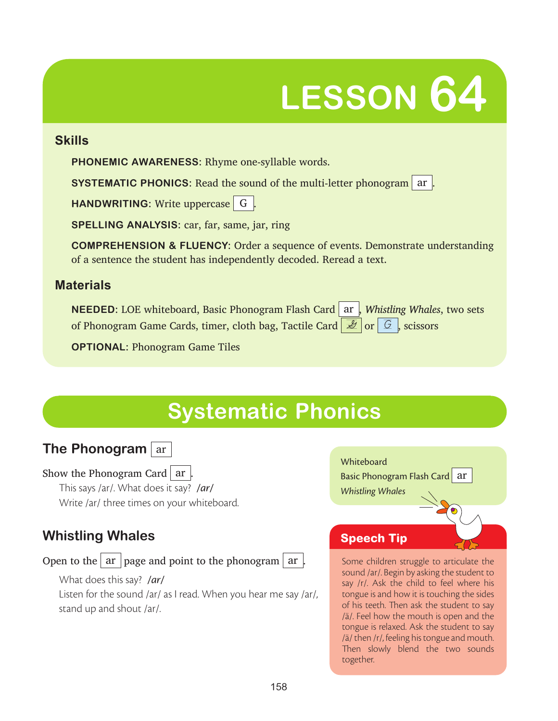# **LESSON 64**

### **Skills**

**PHONEMIC AWARENESS:** Rhyme one-syllable words.

**SYSTEMATIC PHONICS:** Read the sound of the multi-letter phonogram ar .

**HANDWRITING:** Write uppercase G.

**SPELLING ANALYSIS:** car, far, same, jar, ring

**COMPREHENSION & FLUENCY:** Order a sequence of events. Demonstrate understanding of a sentence the student has independently decoded. Reread a text.

## **Materials**

**NEEDED:** LOE whiteboard, Basic Phonogram Flash Card ar , *Whistling Whales*, two sets of Phonogram Game Cards, timer, cloth bag, Tactile Card  $\mathbb{Z}$  or  $\mathbb{G}$ , scissors

**OPTIONAL:** Phonogram Game Tiles

# **Systematic Phonics**



Show the Phonogram Card  $\alpha$  |

This says /ar/. What does it say? */ar/* Write /ar/ three times on your whiteboard.

## **Whistling Whales**

Open to the  $\vert$  ar  $\vert$  page and point to the phonogram  $\vert$  ar  $\vert$ 

What does this say? */ar/* Listen for the sound /ar/ as I read. When you hear me say /ar/, stand up and shout /ar/.



## **Speech Tip**

Some children struggle to articulate the sound /ar/. Begin by asking the student to say /r/. Ask the child to feel where his tongue is and how it is touching the sides of his teeth. Then ask the student to say /ä/. Feel how the mouth is open and the tongue is relaxed. Ask the student to say /ä/ then /r/, feeling his tongue and mouth. Then slowly blend the two sounds together.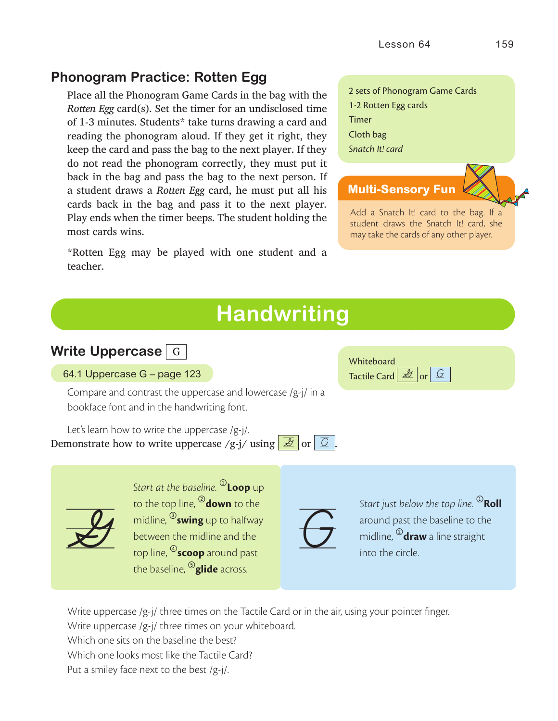## **Phonogram Practice: Rotten Egg**

Place all the Phonogram Game Cards in the bag with the *Rotten Egg* card(s). Set the timer for an undisclosed time of 1-3 minutes. Students\* take turns drawing a card and reading the phonogram aloud. If they get it right, they keep the card and pass the bag to the next player. If they do not read the phonogram correctly, they must put it back in the bag and pass the bag to the next person. If a student draws a *Rotten Egg* card, he must put all his cards back in the bag and pass it to the next player. Play ends when the timer beeps. The student holding the most cards wins.

\*Rotten Egg may be played with one student and a teacher.

### 2 sets of Phonogram Game Cards 1-2 Rotten Egg cards Timer Cloth bag *Snatch It! card*

### **Multi-Sensory Fun**

Add a Snatch It! card to the bag. If a student draws the Snatch It! card, she may take the cards of any other player.

# **Handwriting**

### **Write Uppercase** G

64.1 Uppercase G – page 123

Compare and contrast the uppercase and lowercase /g-j/ in a bookface font and in the handwriting font.

Let's learn how to write the uppercase /g-j/. Demonstrate how to write uppercase /g-j/ using  $\frac{g}{g}$  or  $\boxed{G}$ 

 $\chi^2$ 

*Start at the baseline.* <sup>0</sup>**Loop** up to the top line, 2**down** to the midline, 3**swing** up to halfway between the midline and the top line, 4**scoop** around past the baseline, 5**glide** across.



**Whiteboard** Tactile Card  $\mathbb{E}$  or  $\mathbb{G}$ 

Start just below the top line. <sup>1</sup>Roll<br>around past the baseline to the<br>midline, <sup>20</sup>**draw** a line straight<br>into the circle. around past the baseline to the midline, 2**draw** a line straight into the circle.

Write uppercase /g-j/ three times on the Tactile Card or in the air, using your pointer finger.

Write uppercase /g-j/ three times on your whiteboard.

Which one sits on the baseline the best?

Which one looks most like the Tactile Card?

Put a smiley face next to the best /g-j/.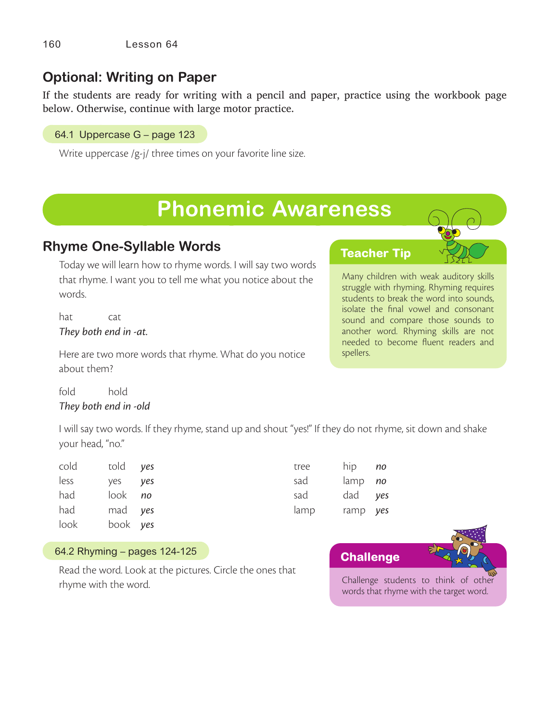## **Optional: Writing on Paper**

If the students are ready for writing with a pencil and paper, practice using the workbook page below. Otherwise, continue with large motor practice.

64.1 Uppercase G – page 123

Write uppercase /g-j/ three times on your favorite line size.

# **Phonemic Awareness**

## **Rhyme One-Syllable Words**

Today we will learn how to rhyme words. I will say two words that rhyme. I want you to tell me what you notice about the words.

hat cat *They both end in -at.*

Here are two more words that rhyme. What do you notice about them?

fold hold *They both end in -old*

I will say two words. If they rhyme, stand up and shout "yes!" If they do not rhyme, sit down and shake your head, "no."

| cold told yes |                | tree | hip <i>no</i>  |  |
|---------------|----------------|------|----------------|--|
| less          | ves ves        | sad  | lamp <i>no</i> |  |
| had           | look <i>no</i> | sad  | dad yes        |  |
| had           | mad yes        | lamp | ramp yes       |  |
| look          | book yes       |      |                |  |

#### 64.2 Rhyming – pages 124-125

Read the word. Look at the pictures. Circle the ones that rhyme with the word.



**Teacher Tip**

Many children with weak auditory skills struggle with rhyming. Rhyming requires students to break the word into sounds, isolate the final vowel and consonant sound and compare those sounds to another word. Rhyming skills are not needed to become fluent readers and spellers.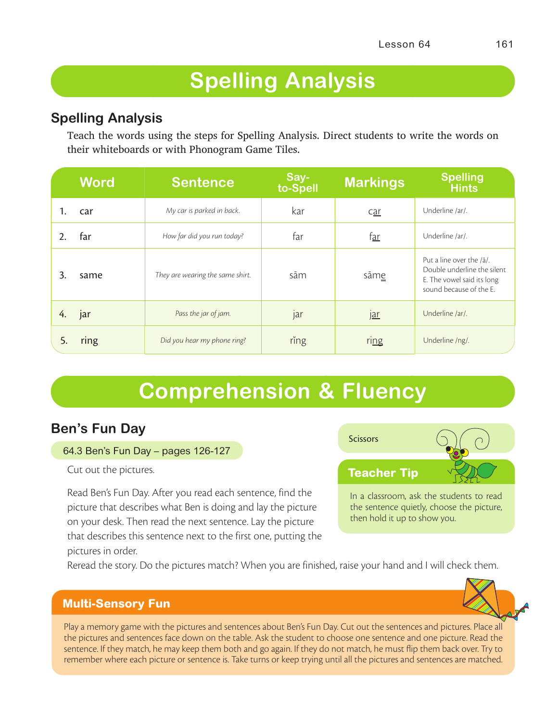# **Spelling Analysis**

### **Spelling Analysis**

Teach the words using the steps for Spelling Analysis. Direct students to write the words on their whiteboards or with Phonogram Game Tiles.

|    | <b>Word</b> | <b>Sentence</b>                  | Say-<br>to-Spell | <b>Markings</b>         | <b>Spelling</b><br><b>Hints</b>                                                                                  |
|----|-------------|----------------------------------|------------------|-------------------------|------------------------------------------------------------------------------------------------------------------|
|    | car         | My car is parked in back.        | kar              | <u>car</u>              | Underline /ar/.                                                                                                  |
|    | far         | How far did you run today?       | far              | f <u>ar</u>             | Underline /ar/.                                                                                                  |
| 3. | same        | They are wearing the same shirt. | sām              | sām <u>e</u>            | Put a line over the /a/.<br>Double underline the silent<br>E. The vowel said its long<br>sound because of the E. |
| 4. | jar         | Pass the jar of jam.             | jar              | $\underline{\text{ar}}$ | Underline /ar/.                                                                                                  |
| 5. | ring        | Did you hear my phone ring?      | ring             | r <sub>ing</sub>        | Underline /ng/.                                                                                                  |

# **Comprehension & Fluency**

## **Ben's Fun Day**

### 64.3 Ben's Fun Day – pages 126-127

Cut out the pictures.

Read Ben's Fun Day. After you read each sentence, find the picture that describes what Ben is doing and lay the picture on your desk. Then read the next sentence. Lay the picture that describes this sentence next to the first one, putting the pictures in order.



In a classroom, ask the students to read the sentence quietly, choose the picture, then hold it up to show you.

Reread the story. Do the pictures match? When you are finished, raise your hand and I will check them.

### **Multi-Sensory Fun**

Play a memory game with the pictures and sentences about Ben's Fun Day. Cut out the sentences and pictures. Place all the pictures and sentences face down on the table. Ask the student to choose one sentence and one picture. Read the sentence. If they match, he may keep them both and go again. If they do not match, he must flip them back over. Try to remember where each picture or sentence is. Take turns or keep trying until all the pictures and sentences are matched.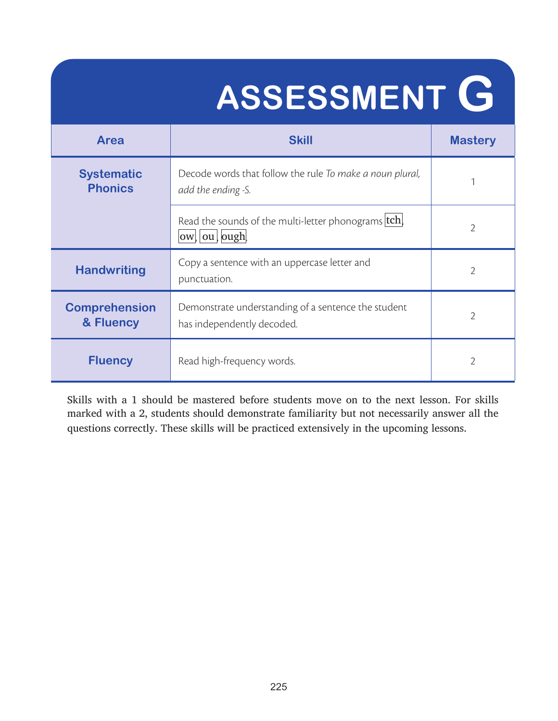# **ASSESSMENT G**

| <b>Skill</b><br><b>Area</b>                                                                                            |                                                                   | <b>Mastery</b> |
|------------------------------------------------------------------------------------------------------------------------|-------------------------------------------------------------------|----------------|
| <b>Systematic</b><br>Decode words that follow the rule To make a noun plural,<br><b>Phonics</b><br>add the ending -S.  |                                                                   |                |
|                                                                                                                        | Read the sounds of the multi-letter phonograms tch<br>ow ou  ough |                |
| Copy a sentence with an uppercase letter and<br><b>Handwriting</b><br>punctuation.                                     |                                                                   | $\overline{2}$ |
| <b>Comprehension</b><br>Demonstrate understanding of a sentence the student<br>& Fluency<br>has independently decoded. |                                                                   | $\overline{2}$ |
| <b>Fluency</b><br>Read high-frequency words.                                                                           |                                                                   | $\overline{2}$ |

Skills with a 1 should be mastered before students move on to the next lesson. For skills marked with a 2, students should demonstrate familiarity but not necessarily answer all the questions correctly. These skills will be practiced extensively in the upcoming lessons.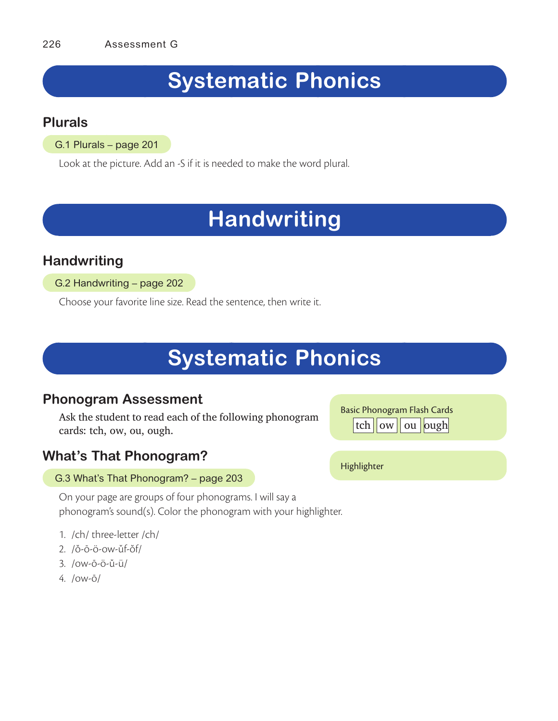# **Systematic Phonics**

### **Plurals**

G.1 Plurals – page 201

Look at the picture. Add an -S if it is needed to make the word plural.

# **Handwriting**

## **Handwriting**

G.2 Handwriting – page 202

Choose your favorite line size. Read the sentence, then write it.

# **Systematic Phonics**

### **Phonogram Assessment**

Ask the student to read each of the following phonogram cards: tch, ow, ou, ough.

## **What's That Phonogram?**

### G.3 What's That Phonogram? – page 203

On your page are groups of four phonograms. I will say a phonogram's sound(s). Color the phonogram with your highlighter.

- 1. /ch/ three-letter /ch/
- 2. /ŏ-ō-ö-ow-ŭf-ŏf/
- 3. /ow-ō-ö-ŭ-ü/
- 4. /ow-ō/

Basic Phonogram Flash Cards | tch || ow || ou || ough|

Highlighter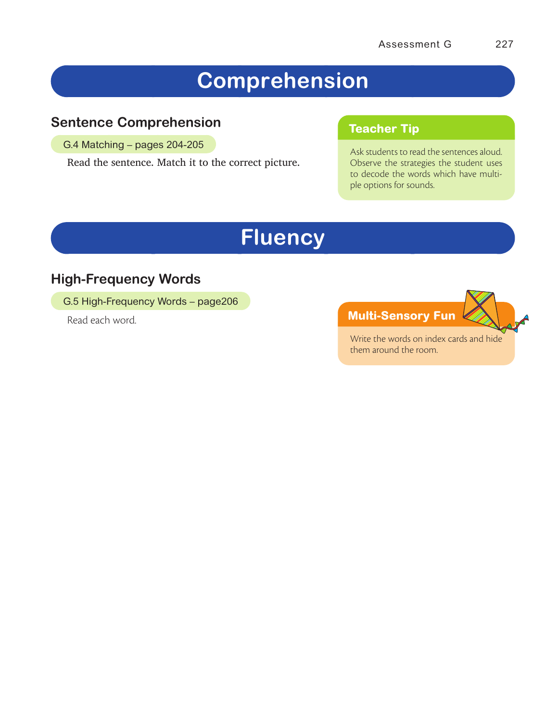# **Comprehension**

## **Sentence Comprehension**

G.4 Matching – pages 204-205

Read the sentence. Match it to the correct picture.

### **Teacher Tip**

Ask students to read the sentences aloud. Observe the strategies the student uses to decode the words which have multiple options for sounds.

# **Fluency**

## **High-Frequency Words**

G.5 High-Frequency Words – page206

Read each word.

**Multi-Sensory Fun**

Write the words on index cards and hide them around the room.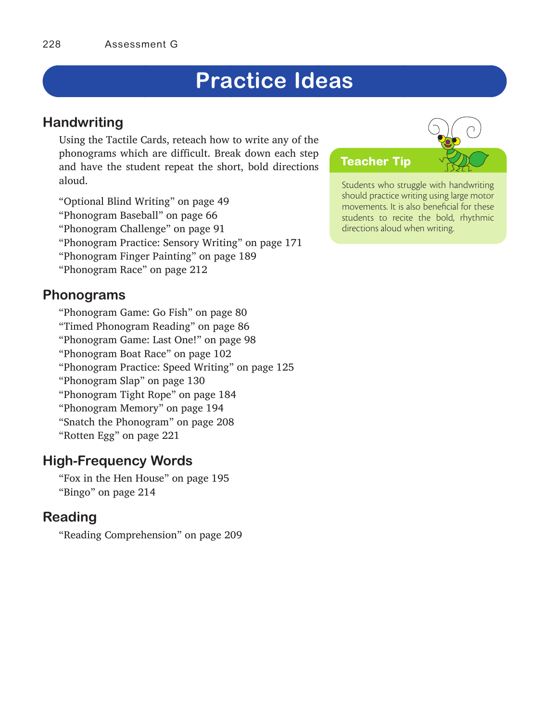# **Practice Ideas**

### **Handwriting**

Using the Tactile Cards, reteach how to write any of the phonograms which are difficult. Break down each step and have the student repeat the short, bold directions aloud.

"Optional Blind Writing" on page 49 "Phonogram Baseball" on page 66 "Phonogram Challenge" on page 91 "Phonogram Practice: Sensory Writing" on page 171 "Phonogram Finger Painting" on page 189 "Phonogram Race" on page 212

### **Phonograms**

"Phonogram Game: Go Fish" on page 80 "Timed Phonogram Reading" on page 86 "Phonogram Game: Last One!" on page 98 "Phonogram Boat Race" on page 102 "Phonogram Practice: Speed Writing" on page 125 "Phonogram Slap" on page 130 "Phonogram Tight Rope" on page 184 "Phonogram Memory" on page 194 "Snatch the Phonogram" on page 208 "Rotten Egg" on page 221

### **High-Frequency Words**

"Fox in the Hen House" on page 195 "Bingo" on page 214

## **Reading**

"Reading Comprehension" on page 209

# **Teacher Tip**

Students who struggle with handwriting should practice writing using large motor movements. It is also beneficial for these students to recite the bold, rhythmic directions aloud when writing.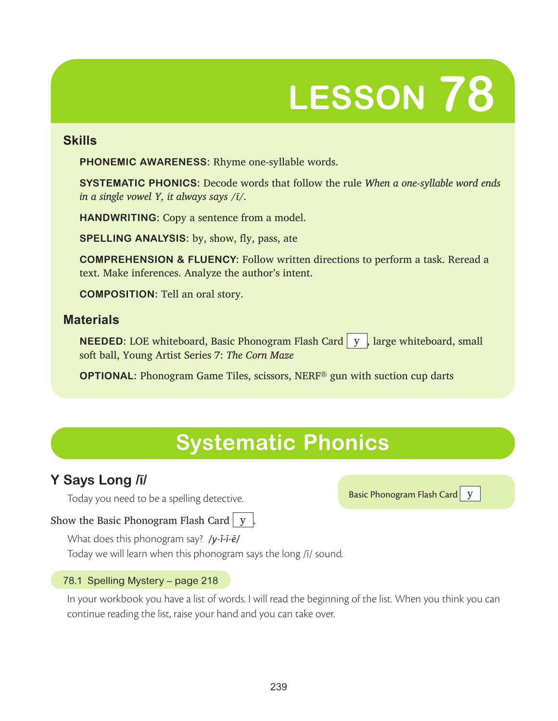# **LESSON 78**

### **Skills**

**PHONEMIC AWARENESS:** Rhyme one-syllable words.

**SYSTEMATIC PHONICS:** Decode words that follow the rule *When a one-syllable word ends in a single vowel Y, it always says /i/.* 

**HANDWRITING:** Copy a sentence from a model.

**SPELLING ANALYSIS:** by, show, fly, pass, ate

**COMPREHENSION & FLUENCY:** Follow written directions to perform a task. Reread a text. Make inferences. Analyze the author's intent.

**COMPOSITION:** Tell an oral story.

### **Materials**

**NEEDED:** LOE whiteboard, Basic Phonogram Flash Card | y |, large whiteboard, small soft ball, Young Artist Series 7: *The Corn Maze*

**OPTIONAL:** Phonogram Game Tiles, scissors, NERF<sup>®</sup> gun with suction cup darts

# **Systematic Phonics**

## **Y Says Long /ī/**

Today you need to be a spelling detective.

Basic Phonogram Flash Card | y

### Show the Basic Phonogram Flash Card  $\vert y \vert$

What does this phonogram say? */y-ĭ-ī-ē/*

Today we will learn when this phonogram says the long /ī/ sound.

### 78.1 Spelling Mystery – page 218

In your workbook you have a list of words. I will read the beginning of the list. When you think you can continue reading the list, raise your hand and you can take over.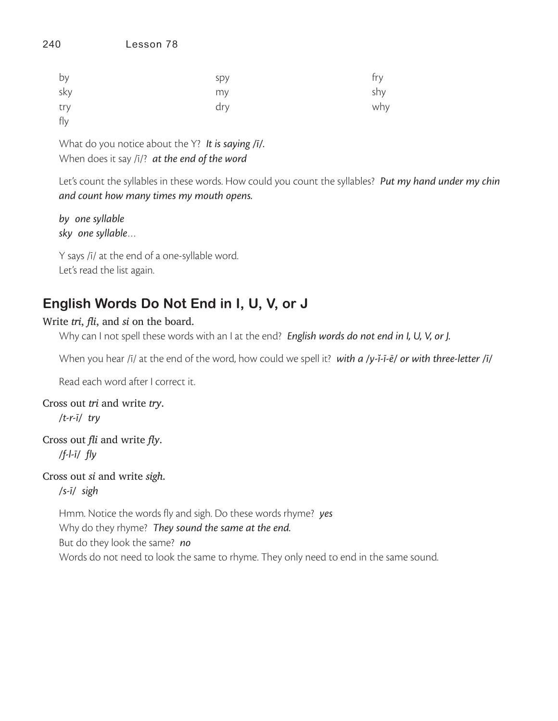| by  | spy | fry |
|-----|-----|-----|
| sky | my  | shy |
| try | dry | why |
| fly |     |     |

What do you notice about the Y? *It is saying /ī/.* When does it say /ī/? *at the end of the word*

Let's count the syllables in these words. How could you count the syllables? *Put my hand under my chin and count how many times my mouth opens.*

*by one syllable sky one syllable*…

Y says /ī/ at the end of a one-syllable word. Let's read the list again.

## **English Words Do Not End in I, U, V, or J**

### Write *tri*, *fli*, and *si* on the board.

Why can I not spell these words with an I at the end? *English words do not end in I, U, V, or J.* 

When you hear /ī/ at the end of the word, how could we spell it? *with a /y-ĭ-ī-ē/ or with three-letter /ī/*

Read each word after I correct it.

Cross out *tri* and write *try*. */t-r-ī/ try*

Cross out *fli* and write *fly*. */f-l-ī/ fly*

Cross out *si* and write *sigh*.

*/s-ī/ sigh*

Hmm. Notice the words fly and sigh. Do these words rhyme? *yes* Why do they rhyme? *They sound the same at the end.* But do they look the same? *no* Words do not need to look the same to rhyme. They only need to end in the same sound.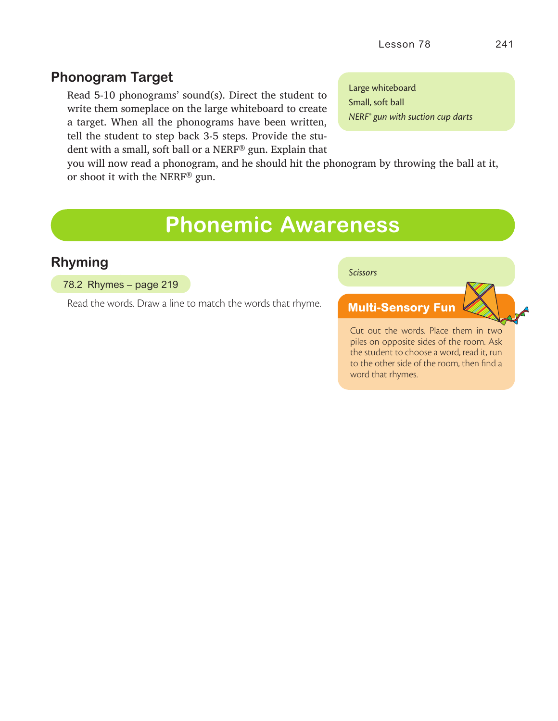### **Phonogram Target**

Read 5-10 phonograms' sound(s). Direct the student to write them someplace on the large whiteboard to create a target. When all the phonograms have been written, tell the student to step back 3-5 steps. Provide the student with a small, soft ball or a NERF® gun. Explain that

Large whiteboard Small, soft ball *NERF® gun with suction cup darts*

you will now read a phonogram, and he should hit the phonogram by throwing the ball at it, or shoot it with the NERF® gun.

## **Phonemic Awareness**

### **Rhyming**

#### 78.2 Rhymes – page 219

Read the words. Draw a line to match the words that rhyme.

*Scissors*

### **Multi-Sensory Fun**

Cut out the words. Place them in two piles on opposite sides of the room. Ask the student to choose a word, read it, run to the other side of the room, then find a word that rhymes.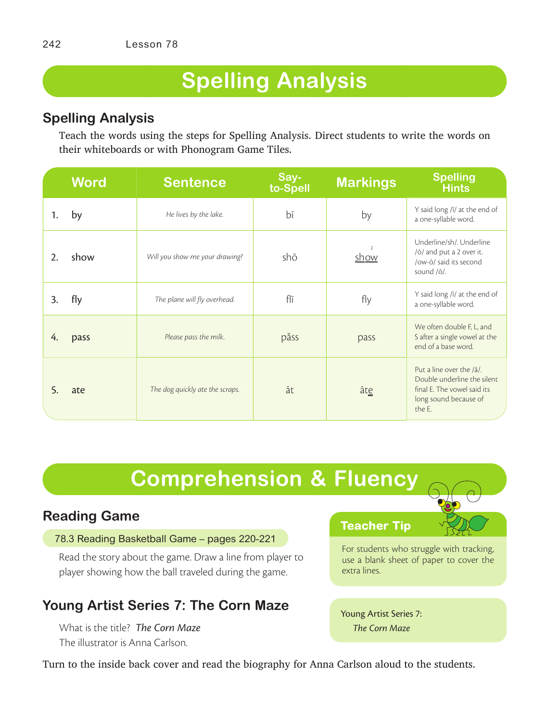# **Spelling Analysis**

## **Spelling Analysis**

Teach the words using the steps for Spelling Analysis. Direct students to write the words on their whiteboards or with Phonogram Game Tiles.

|    | <b>Word</b> | <b>Sentence</b>                 | Say-<br>to-Spell | <b>Markings</b>              | <b>Spelling</b><br><b>Hints</b>                                                                                           |
|----|-------------|---------------------------------|------------------|------------------------------|---------------------------------------------------------------------------------------------------------------------------|
| 1. | by          | He lives by the lake.           | bī               | by                           | Y said long /ī/ at the end of<br>a one-syllable word.                                                                     |
| 2. | show        | Will you show me your drawing?  | shō              | $\mathcal{P}$<br><u>show</u> | Underline/sh/. Underline<br>/ō/ and put a 2 over it.<br>/ow-ō/ said its second<br>sound /o/.                              |
| 3. | fly         | The plane will fly overhead.    | flī              | fly                          | Y said long /ī/ at the end of<br>a one-syllable word.                                                                     |
| 4. | pass        | Please pass the milk.           | păss             | pass                         | We often double F, L, and<br>S after a single vowel at the<br>end of a base word.                                         |
| 5. | ate         | The dog quickly ate the scraps. | āt               | āte                          | Put a line over the /a/.<br>Double underline the silent<br>final E. The vowel said its<br>long sound because of<br>the F. |

# **Comprehension & Fluency**

## **Reading Game**

### 78.3 Reading Basketball Game – pages 220-221

Read the story about the game. Draw a line from player to player showing how the ball traveled during the game.

## **Young Artist Series 7: The Corn Maze**

What is the title? *The Corn Maze* The illustrator is Anna Carlson.

### **Teacher Tip**

For students who struggle with tracking, use a blank sheet of paper to cover the extra lines.

Young Artist Series 7: *The Corn Maze*

Turn to the inside back cover and read the biography for Anna Carlson aloud to the students.